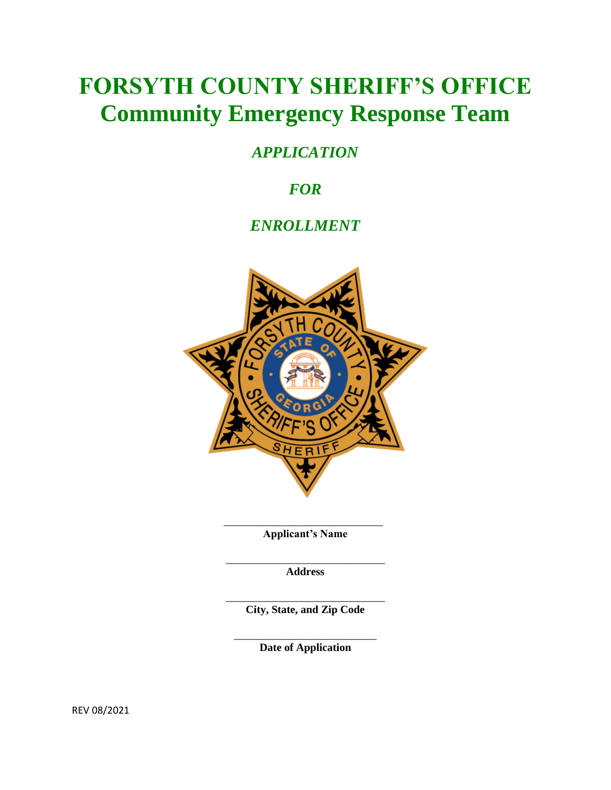# **FORSYTH COUNTY SHERIFF'S OFFICE Community Emergency Response Team**

### *APPLICATION*

## *FOR*

### *ENROLLMENT*



**Applicant's Name**

 $\frac{1}{\sqrt{2}}$  ,  $\frac{1}{\sqrt{2}}$  ,  $\frac{1}{\sqrt{2}}$  ,  $\frac{1}{\sqrt{2}}$  ,  $\frac{1}{\sqrt{2}}$  ,  $\frac{1}{\sqrt{2}}$  ,  $\frac{1}{\sqrt{2}}$  ,  $\frac{1}{\sqrt{2}}$  ,  $\frac{1}{\sqrt{2}}$  ,  $\frac{1}{\sqrt{2}}$  ,  $\frac{1}{\sqrt{2}}$  ,  $\frac{1}{\sqrt{2}}$  ,  $\frac{1}{\sqrt{2}}$  ,  $\frac{1}{\sqrt{2}}$  ,  $\frac{1}{\sqrt{2}}$ 

\_\_\_\_\_\_\_\_\_\_\_\_\_\_\_\_\_\_\_\_\_\_\_\_\_\_\_\_\_ **Address**

\_\_\_\_\_\_\_\_\_\_\_\_\_\_\_\_\_\_\_\_\_\_\_\_\_\_\_\_\_ **City, State, and Zip Code**

\_\_\_\_\_\_\_\_\_\_\_\_\_\_\_\_\_\_\_\_\_\_\_\_\_\_ **Date of Application**

REV 08/2021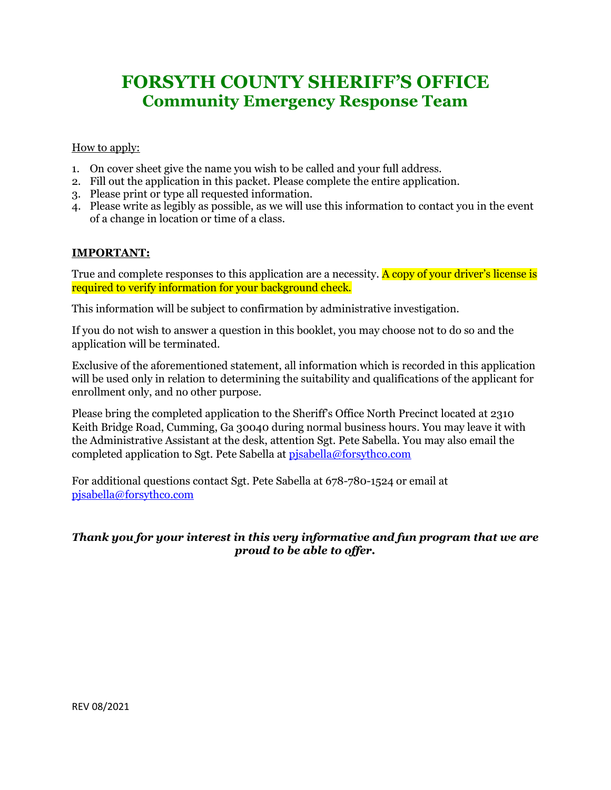# **FORSYTH COUNTY SHERIFF'S OFFICE Community Emergency Response Team**

#### How to apply:

- 1. On cover sheet give the name you wish to be called and your full address.
- 2. Fill out the application in this packet. Please complete the entire application.
- 3. Please print or type all requested information.
- 4. Please write as legibly as possible, as we will use this information to contact you in the event of a change in location or time of a class.

### **IMPORTANT:**

True and complete responses to this application are a necessity. A copy of your driver's license is required to verify information for your background check.

This information will be subject to confirmation by administrative investigation.

If you do not wish to answer a question in this booklet, you may choose not to do so and the application will be terminated.

Exclusive of the aforementioned statement, all information which is recorded in this application will be used only in relation to determining the suitability and qualifications of the applicant for enrollment only, and no other purpose.

Please bring the completed application to the Sheriff's Office North Precinct located at 2310 Keith Bridge Road, Cumming, Ga 30040 during normal business hours. You may leave it with the Administrative Assistant at the desk, attention Sgt. Pete Sabella. You may also email the completed application to Sgt. Pete Sabella at [pjsabella@forsythco.com](mailto:pjsabella@forsythco.com) 

For additional questions contact Sgt. Pete Sabella at 678-780-1524 or email at [pjsabella@forsythco.com](mailto:pjsabella@forsythco.com)

### *Thank you for your interest in this very informative and fun program that we are proud to be able to offer.*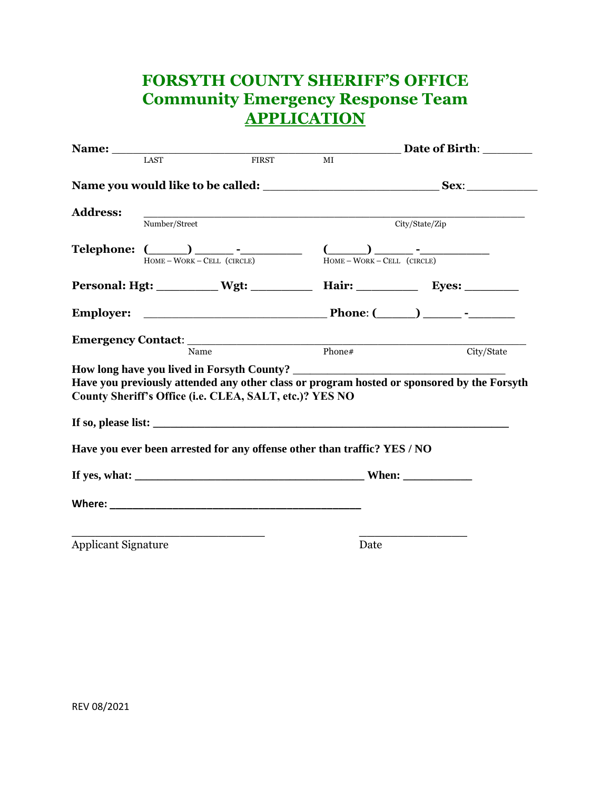## **FORSYTH COUNTY SHERIFF'S OFFICE Community Emergency Response Team APPLICATION**

|                            |                                                         |       |                                                                                                                                                                                                                                            | <b>Example 1 Date of Birth:</b>                                                            |  |
|----------------------------|---------------------------------------------------------|-------|--------------------------------------------------------------------------------------------------------------------------------------------------------------------------------------------------------------------------------------------|--------------------------------------------------------------------------------------------|--|
|                            | LAST                                                    | FIRST | $\overline{MI}$                                                                                                                                                                                                                            |                                                                                            |  |
|                            |                                                         |       |                                                                                                                                                                                                                                            |                                                                                            |  |
| <b>Address:</b>            | Number/Street                                           |       | <u> 1989 - Johann Stoff, amerikansk politiker (d. 1989)</u>                                                                                                                                                                                | City/State/Zip                                                                             |  |
|                            |                                                         |       | <b>Telephone:</b> $\underbrace{()}$ $\underbrace{()}$ $\underbrace{(-)}$ $\underbrace{()}$ $\underbrace{()}$ $\underbrace{()}$ $\underbrace{()}$ $\underbrace{()}$ $\underbrace{()}$ $\underbrace{()}$ $\underbrace{()}$ $\underbrace{()}$ |                                                                                            |  |
|                            |                                                         |       |                                                                                                                                                                                                                                            | Personal: Hgt: __________ Wgt: __________ Hair: __________ Eyes: _________                 |  |
|                            |                                                         |       |                                                                                                                                                                                                                                            |                                                                                            |  |
|                            | Name                                                    |       | Phone#                                                                                                                                                                                                                                     |                                                                                            |  |
|                            |                                                         |       |                                                                                                                                                                                                                                            | City/State                                                                                 |  |
|                            | County Sheriff's Office (i.e. CLEA, SALT, etc.)? YES NO |       | If so, please list:                                                                                                                                                                                                                        | Have you previously attended any other class or program hosted or sponsored by the Forsyth |  |
|                            |                                                         |       | Have you ever been arrested for any offense other than traffic? YES / NO                                                                                                                                                                   |                                                                                            |  |
|                            |                                                         |       |                                                                                                                                                                                                                                            |                                                                                            |  |
|                            |                                                         |       |                                                                                                                                                                                                                                            |                                                                                            |  |
| <b>Applicant Signature</b> |                                                         |       | Date                                                                                                                                                                                                                                       |                                                                                            |  |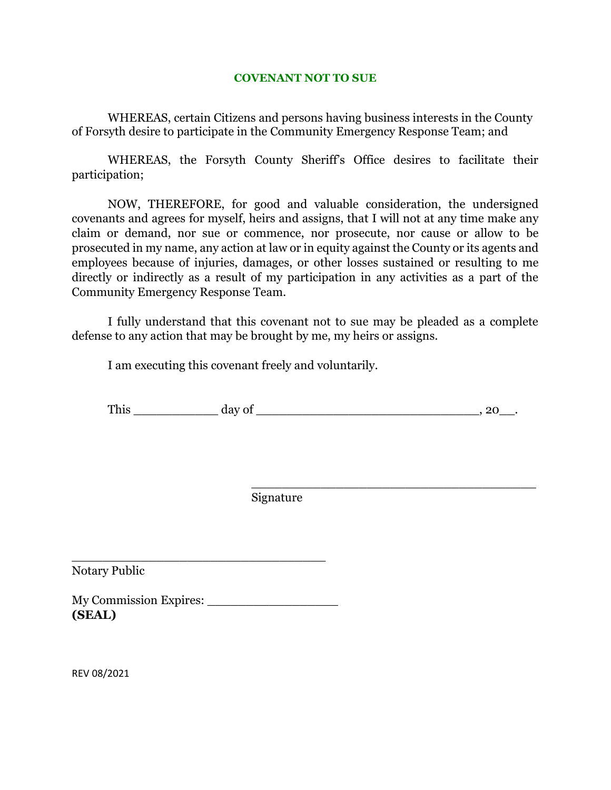#### **COVENANT NOT TO SUE**

WHEREAS, certain Citizens and persons having business interests in the County of Forsyth desire to participate in the Community Emergency Response Team; and

WHEREAS, the Forsyth County Sheriff's Office desires to facilitate their participation;

NOW, THEREFORE, for good and valuable consideration, the undersigned covenants and agrees for myself, heirs and assigns, that I will not at any time make any claim or demand, nor sue or commence, nor prosecute, nor cause or allow to be prosecuted in my name, any action at law or in equity against the County or its agents and employees because of injuries, damages, or other losses sustained or resulting to me directly or indirectly as a result of my participation in any activities as a part of the Community Emergency Response Team.

I fully understand that this covenant not to sue may be pleaded as a complete defense to any action that may be brought by me, my heirs or assigns.

I am executing this covenant freely and voluntarily.

| __<br>m<br><b>TTIT</b><br>--- |  |  |
|-------------------------------|--|--|
|                               |  |  |

\_\_\_\_\_\_\_\_\_\_\_\_\_\_\_\_\_\_\_\_\_\_\_\_\_\_\_\_\_\_\_\_\_\_\_\_\_

Signature

Notary Public

My Commission Expires: **(SEAL)**

\_\_\_\_\_\_\_\_\_\_\_\_\_\_\_\_\_\_\_\_\_\_\_\_\_\_\_\_\_\_\_\_\_

REV 08/2021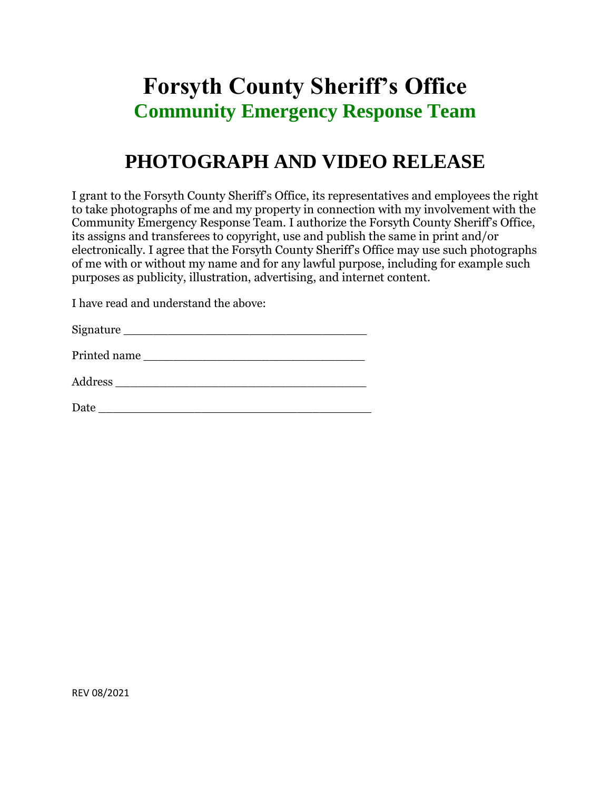# **Forsyth County Sheriff's Office Community Emergency Response Team**

# **PHOTOGRAPH AND VIDEO RELEASE**

I grant to the Forsyth County Sheriff's Office, its representatives and employees the right to take photographs of me and my property in connection with my involvement with the Community Emergency Response Team. I authorize the Forsyth County Sheriff's Office, its assigns and transferees to copyright, use and publish the same in print and/or electronically. I agree that the Forsyth County Sheriff's Office may use such photographs of me with or without my name and for any lawful purpose, including for example such purposes as publicity, illustration, advertising, and internet content.

I have read and understand the above:

| Signature |  |
|-----------|--|
|           |  |

| Printed name |  |  |
|--------------|--|--|
|              |  |  |

| - -<br>Addre |  |  |
|--------------|--|--|
|              |  |  |

 $Date \_\_$